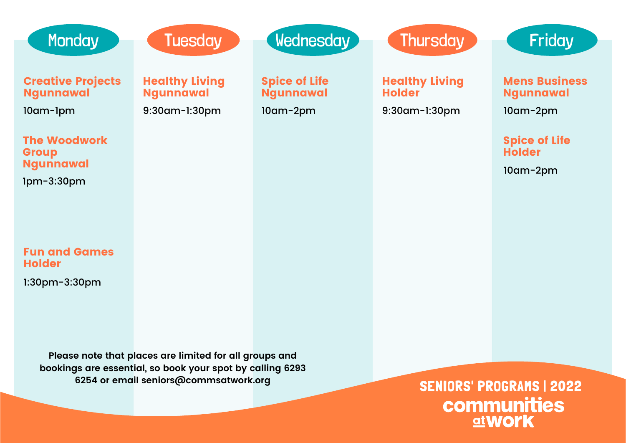| <b>Monday</b>                                            | <b>Tuesday</b>                                                                                                      | <b>Wednesday</b>                                     | <b>Thursday</b>                                         | <b>Friday</b>                                               |
|----------------------------------------------------------|---------------------------------------------------------------------------------------------------------------------|------------------------------------------------------|---------------------------------------------------------|-------------------------------------------------------------|
| <b>Creative Projects</b><br><b>Ngunnawal</b><br>10am-1pm | <b>Healthy Living</b><br><b>Ngunnawal</b><br>9:30am-1:30pm                                                          | <b>Spice of Life</b><br><b>Ngunnawal</b><br>10am-2pm | <b>Healthy Living</b><br><b>Holder</b><br>9:30am-1:30pm | <b>Mens Business</b><br><b>Ngunnawal</b><br>$10$ am- $2$ pm |
| <b>The Woodwork</b><br><b>Group</b><br><b>Ngunnawal</b>  |                                                                                                                     |                                                      |                                                         | <b>Spice of Life</b><br><b>Holder</b>                       |
| $1pm-3:30pm$                                             |                                                                                                                     |                                                      |                                                         | $10$ am- $2$ pm                                             |
| <b>Fun and Games</b><br><b>Holder</b>                    |                                                                                                                     |                                                      |                                                         |                                                             |
| $1:30$ pm $-3:30$ pm                                     |                                                                                                                     |                                                      |                                                         |                                                             |
|                                                          | Please note that places are limited for all groups and<br>bookings are essential, so book your spot by calling 6293 |                                                      |                                                         |                                                             |
|                                                          | 6254 or email seniors@commsatwork.org                                                                               | <b>CENIADE: DDACDAME   9099</b>                      |                                                         |                                                             |

SENIORS' PROGRAMS | 2022<br>Communities<br>atwork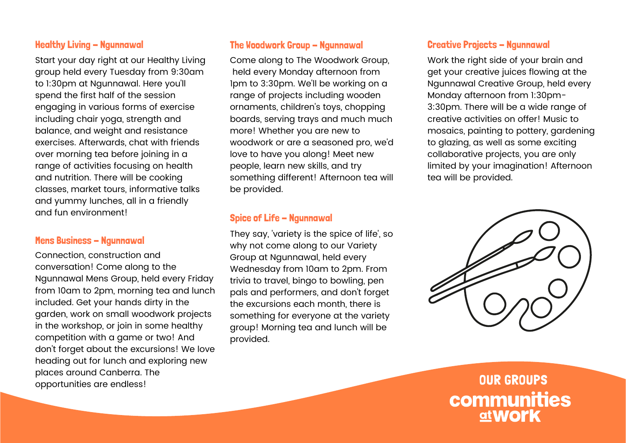#### Healthy Living - Ngunnawal

Start your day right at our Healthy Living group held every Tuesday from 9:30am to 1:30pm at Ngunnawal. Here you'll spend the first half of the session engaging in various forms of exercise including chair yoga, strength and balance, and weight and resistance exercises. Afterwards, chat with friends over morning tea before joining in a range of activities focusing on health and nutrition. There will be cooking classes, market tours, informative talks and yummy lunches, all in a friendly and fun environment!

#### **Mens Business - Ngunnawal**

Connection, construction and conversation! Come along to the Ngunnawal Mens Group, held every Friday from 10am to 2pm, morning tea and lunch included. Get your hands dirty in the garden, work on small woodwork projects in the workshop, or join in some healthy competition with a game or two! And don't forget about the excursions! We love heading out for lunch and exploring new places around Canberra. The opportunities are endless!

## The Woodwork Group - Naunnawal

Come along to The Woodwork Group, held every Monday afternoon from 1pm to 3:30pm. We'll be working on a range of projects including wooden ornaments, children's toys, chopping boards, serving trays and much much more! Whether you are new to woodwork or are a seasoned pro, we'd love to have you along! Meet new people, learn new skills, and try something different! Afternoon tea will be provided.

# Spice of Life - Ngunnawal

They say, 'variety is the spice of life', so why not come along to our Variety Group at Ngunnawal, held every Wednesday from 10am to 2pm. From trivia to travel, bingo to bowling, pen pals and performers, and don't forget the excursions each month, there is something for everyone at the variety group! Morning tea and lunch will be provided.

# **Creative Projects - Ngunnawal**

Work the right side of your brain and get your creative juices flowing at the Ngunnawal Creative Group, held every Monday afternoon from 1:30pm-3:30pm. There will be a wide range of creative activities on offer! Music to mosaics, painting to pottery, gardening to glazing, as well as some exciting collaborative projects, you are only limited by your imagination! Afternoon tea will be provided.



OUR GROUPS communities at**WOrk**